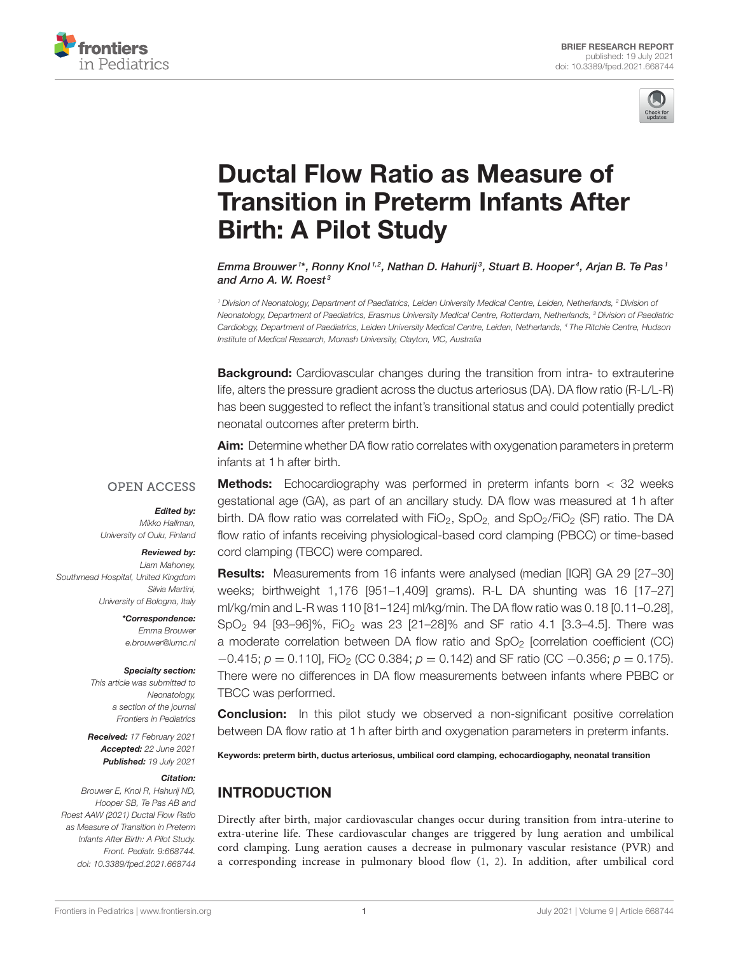



# Ductal Flow Ratio as Measure of [Transition in Preterm Infants After](https://www.frontiersin.org/articles/10.3389/fped.2021.668744/full) Birth: A Pilot Study

Emma Brouwer1\*, Ronny Knol<sup>1,2</sup>, Nathan D. Hahurij<sup>3</sup>, Stuart B. Hooper<sup>4</sup>, Arjan B. Te Pas1 and Arno A. W. Roest<sup>3</sup>

*<sup>1</sup> Division of Neonatology, Department of Paediatrics, Leiden University Medical Centre, Leiden, Netherlands, <sup>2</sup> Division of Neonatology, Department of Paediatrics, Erasmus University Medical Centre, Rotterdam, Netherlands, <sup>3</sup> Division of Paediatric Cardiology, Department of Paediatrics, Leiden University Medical Centre, Leiden, Netherlands, <sup>4</sup> The Ritchie Centre, Hudson Institute of Medical Research, Monash University, Clayton, VIC, Australia*

**Background:** Cardiovascular changes during the transition from intra- to extrauterine life, alters the pressure gradient across the ductus arteriosus (DA). DA flow ratio (R-L/L-R) has been suggested to reflect the infant's transitional status and could potentially predict neonatal outcomes after preterm birth.

Aim: Determine whether DA flow ratio correlates with oxygenation parameters in preterm infants at 1 h after birth.

#### **OPEN ACCESS**

#### Edited by: *Mikko Hallman,*

*University of Oulu, Finland*

#### Reviewed by:

*Liam Mahoney, Southmead Hospital, United Kingdom Silvia Martini, University of Bologna, Italy*

> \*Correspondence: *Emma Brouwer [e.brouwer@lumc.nl](mailto:e.brouwer@lumc.nl)*

#### Specialty section:

*This article was submitted to Neonatology, a section of the journal Frontiers in Pediatrics*

Received: *17 February 2021* Accepted: *22 June 2021* Published: *19 July 2021*

#### Citation:

*Brouwer E, Knol R, Hahurij ND, Hooper SB, Te Pas AB and Roest AAW (2021) Ductal Flow Ratio as Measure of Transition in Preterm Infants After Birth: A Pilot Study. Front. Pediatr. 9:668744. doi: [10.3389/fped.2021.668744](https://doi.org/10.3389/fped.2021.668744)*

**Methods:** Echocardiography was performed in preterm infants born  $\lt$  32 weeks gestational age (GA), as part of an ancillary study. DA flow was measured at 1 h after birth. DA flow ratio was correlated with  $FiO_2$ ,  $SpO_2$  and  $SpO_2/FiO_2$  (SF) ratio. The DA flow ratio of infants receiving physiological-based cord clamping (PBCC) or time-based cord clamping (TBCC) were compared.

Results: Measurements from 16 infants were analysed (median [IQR] GA 29 [27–30] weeks; birthweight 1,176 [951–1,409] grams). R-L DA shunting was 16 [17–27] ml/kg/min and L-R was 110 [81–124] ml/kg/min. The DA flow ratio was 0.18 [0.11–0.28], SpO<sup>2</sup> 94 [93–96]%, FiO<sup>2</sup> was 23 [21–28]% and SF ratio 4.1 [3.3–4.5]. There was a moderate correlation between DA flow ratio and  $SpO<sub>2</sub>$  [correlation coefficient (CC) −0.415; *p* = 0.110], FiO<sub>2</sub> (CC 0.384; *p* = 0.142) and SF ratio (CC −0.356; *p* = 0.175). There were no differences in DA flow measurements between infants where PBBC or TBCC was performed.

**Conclusion:** In this pilot study we observed a non-significant positive correlation between DA flow ratio at 1 h after birth and oxygenation parameters in preterm infants.

Keywords: preterm birth, ductus arteriosus, umbilical cord clamping, echocardiogaphy, neonatal transition

# INTRODUCTION

Directly after birth, major cardiovascular changes occur during transition from intra-uterine to extra-uterine life. These cardiovascular changes are triggered by lung aeration and umbilical cord clamping. Lung aeration causes a decrease in pulmonary vascular resistance (PVR) and a corresponding increase in pulmonary blood flow [\(1,](#page-6-0) [2\)](#page-6-1). In addition, after umbilical cord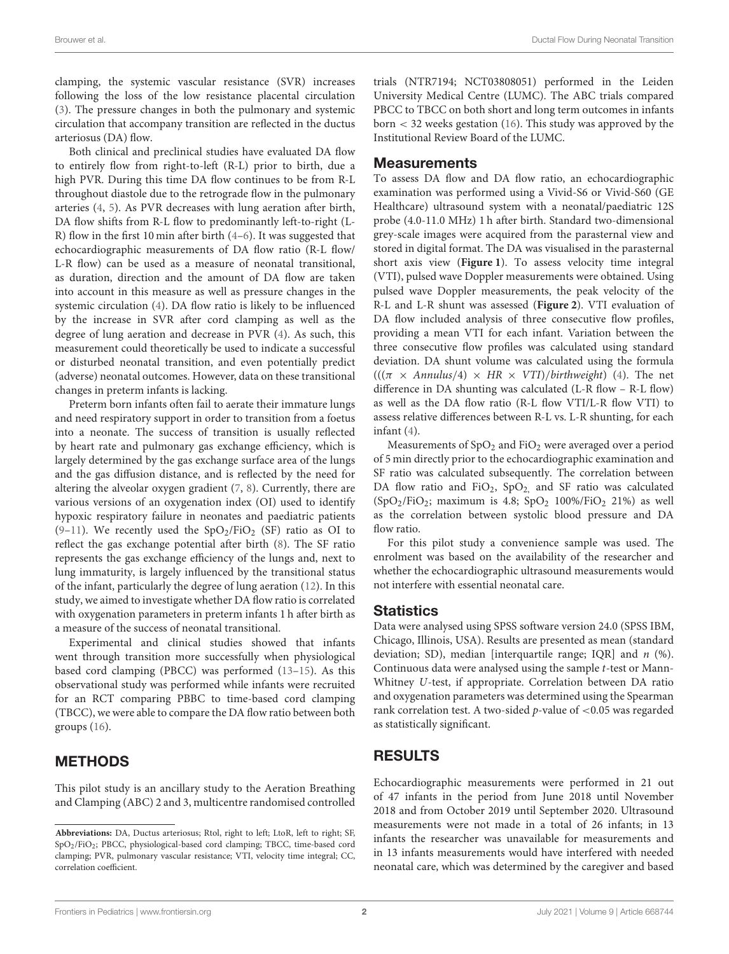clamping, the systemic vascular resistance (SVR) increases following the loss of the low resistance placental circulation [\(3\)](#page-6-2). The pressure changes in both the pulmonary and systemic circulation that accompany transition are reflected in the ductus arteriosus (DA) flow.

Both clinical and preclinical studies have evaluated DA flow to entirely flow from right-to-left (R-L) prior to birth, due a high PVR. During this time DA flow continues to be from R-L throughout diastole due to the retrograde flow in the pulmonary arteries [\(4,](#page-6-3) [5\)](#page-6-4). As PVR decreases with lung aeration after birth, DA flow shifts from R-L flow to predominantly left-to-right (L-R) flow in the first 10 min after birth [\(4–](#page-6-3)[6\)](#page-6-5). It was suggested that echocardiographic measurements of DA flow ratio (R-L flow/ L-R flow) can be used as a measure of neonatal transitional, as duration, direction and the amount of DA flow are taken into account in this measure as well as pressure changes in the systemic circulation [\(4\)](#page-6-3). DA flow ratio is likely to be influenced by the increase in SVR after cord clamping as well as the degree of lung aeration and decrease in PVR [\(4\)](#page-6-3). As such, this measurement could theoretically be used to indicate a successful or disturbed neonatal transition, and even potentially predict (adverse) neonatal outcomes. However, data on these transitional changes in preterm infants is lacking.

Preterm born infants often fail to aerate their immature lungs and need respiratory support in order to transition from a foetus into a neonate. The success of transition is usually reflected by heart rate and pulmonary gas exchange efficiency, which is largely determined by the gas exchange surface area of the lungs and the gas diffusion distance, and is reflected by the need for altering the alveolar oxygen gradient [\(7,](#page-6-6) [8\)](#page-6-7). Currently, there are various versions of an oxygenation index (OI) used to identify hypoxic respiratory failure in neonates and paediatric patients [\(9–](#page-6-8)[11\)](#page-6-9). We recently used the  $SpO_2/FiO_2$  (SF) ratio as OI to reflect the gas exchange potential after birth [\(8\)](#page-6-7). The SF ratio represents the gas exchange efficiency of the lungs and, next to lung immaturity, is largely influenced by the transitional status of the infant, particularly the degree of lung aeration [\(12\)](#page-6-10). In this study, we aimed to investigate whether DA flow ratio is correlated with oxygenation parameters in preterm infants 1 h after birth as a measure of the success of neonatal transitional.

Experimental and clinical studies showed that infants went through transition more successfully when physiological based cord clamping (PBCC) was performed [\(13](#page-6-11)[–15\)](#page-6-12). As this observational study was performed while infants were recruited for an RCT comparing PBBC to time-based cord clamping (TBCC), we were able to compare the DA flow ratio between both groups [\(16\)](#page-6-13).

# METHODS

This pilot study is an ancillary study to the Aeration Breathing and Clamping (ABC) 2 and 3, multicentre randomised controlled trials (NTR7194; NCT03808051) performed in the Leiden University Medical Centre (LUMC). The ABC trials compared PBCC to TBCC on both short and long term outcomes in infants  $born < 32$  weeks gestation [\(16\)](#page-6-13). This study was approved by the Institutional Review Board of the LUMC.

## **Measurements**

To assess DA flow and DA flow ratio, an echocardiographic examination was performed using a Vivid-S6 or Vivid-S60 (GE Healthcare) ultrasound system with a neonatal/paediatric 12S probe (4.0-11.0 MHz) 1 h after birth. Standard two-dimensional grey-scale images were acquired from the parasternal view and stored in digital format. The DA was visualised in the parasternal short axis view (**[Figure 1](#page-2-0)**). To assess velocity time integral (VTI), pulsed wave Doppler measurements were obtained. Using pulsed wave Doppler measurements, the peak velocity of the R-L and L-R shunt was assessed (**[Figure 2](#page-2-1)**). VTI evaluation of DA flow included analysis of three consecutive flow profiles, providing a mean VTI for each infant. Variation between the three consecutive flow profiles was calculated using standard deviation. DA shunt volume was calculated using the formula  $(((\pi \times \text{Annulus}/4) \times \text{HR} \times \text{VTI})/\text{birthweight})$  [\(4\)](#page-6-3). The net difference in DA shunting was calculated (L-R flow – R-L flow) as well as the DA flow ratio (R-L flow VTI/L-R flow VTI) to assess relative differences between R-L vs. L-R shunting, for each infant [\(4\)](#page-6-3).

Measurements of  $SpO<sub>2</sub>$  and  $FiO<sub>2</sub>$  were averaged over a period of 5 min directly prior to the echocardiographic examination and SF ratio was calculated subsequently. The correlation between DA flow ratio and FiO<sub>2</sub>, SpO<sub>2</sub>, and SF ratio was calculated  $(SpO<sub>2</sub>/FiO<sub>2</sub>; maximum is 4.8; SpO<sub>2</sub> 100%/FiO<sub>2</sub> 21%) as well$ as the correlation between systolic blood pressure and DA flow ratio.

For this pilot study a convenience sample was used. The enrolment was based on the availability of the researcher and whether the echocardiographic ultrasound measurements would not interfere with essential neonatal care.

# **Statistics**

Data were analysed using SPSS software version 24.0 (SPSS IBM, Chicago, Illinois, USA). Results are presented as mean (standard deviation; SD), median [interquartile range; IQR] and  $n$  (%). Continuous data were analysed using the sample t-test or Mann-Whitney U-test, if appropriate. Correlation between DA ratio and oxygenation parameters was determined using the Spearman rank correlation test. A two-sided  $p$ -value of  $<$ 0.05 was regarded as statistically significant.

# RESULTS

Echocardiographic measurements were performed in 21 out of 47 infants in the period from June 2018 until November 2018 and from October 2019 until September 2020. Ultrasound measurements were not made in a total of 26 infants; in 13 infants the researcher was unavailable for measurements and in 13 infants measurements would have interfered with needed neonatal care, which was determined by the caregiver and based

**Abbreviations:** DA, Ductus arteriosus; Rtol, right to left; LtoR, left to right; SF, SpO2/FiO2; PBCC, physiological-based cord clamping; TBCC, time-based cord clamping; PVR, pulmonary vascular resistance; VTI, velocity time integral; CC, correlation coefficient.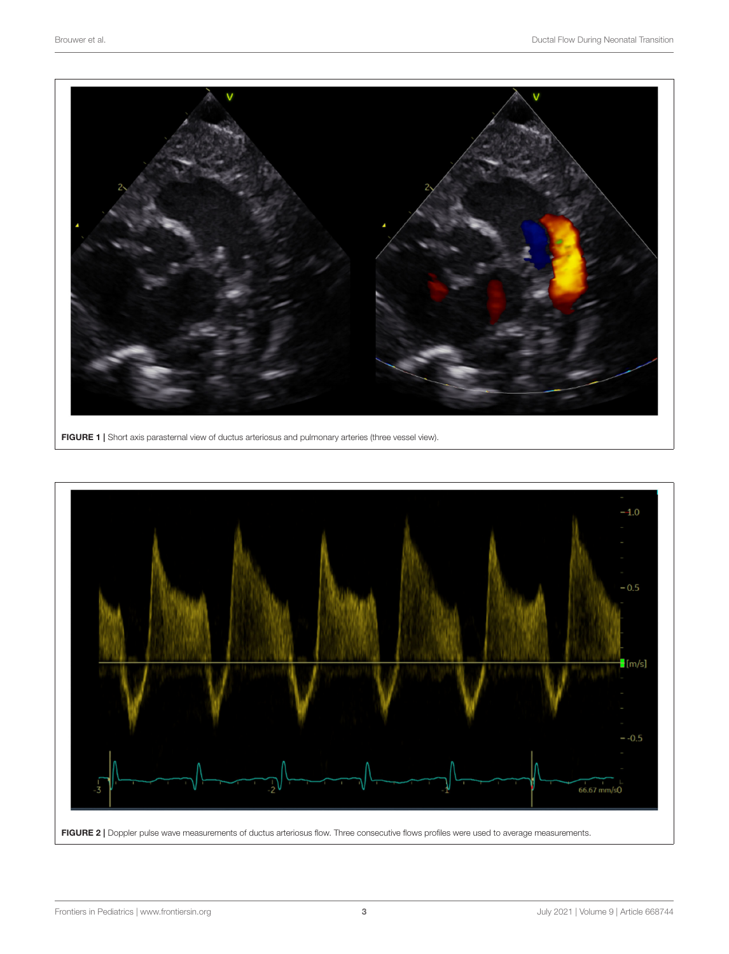

FIGURE 1 | Short axis parasternal view of ductus arteriosus and pulmonary arteries (three vessel view).

<span id="page-2-1"></span><span id="page-2-0"></span>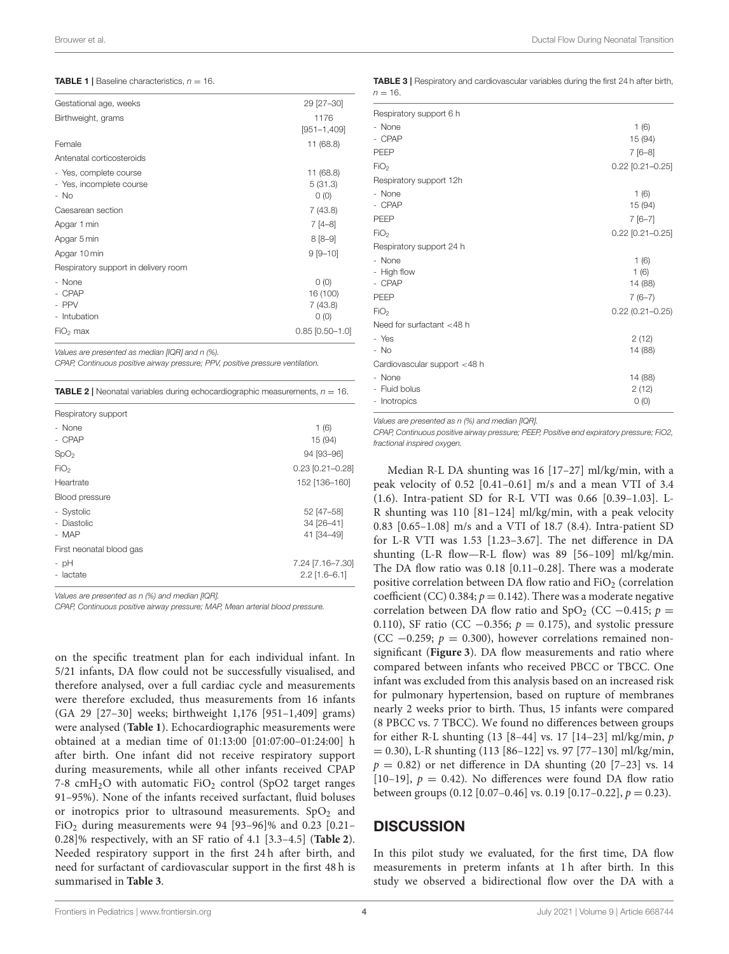<span id="page-3-0"></span>**TABLE 1** | Baseline characteristics,  $n = 16$ .

| Gestational age, weeks               | 29 [27-30]        |
|--------------------------------------|-------------------|
| Birthweight, grams                   | 1176              |
|                                      | $[951 - 1, 409]$  |
| Female                               | 11(68.8)          |
| Antenatal corticosteroids            |                   |
| - Yes, complete course               | 11 (68.8)         |
| - Yes, incomplete course             | 5(31.3)           |
| - No                                 | O(0)              |
| Caesarean section                    | 7(43.8)           |
| Apgar 1 min                          | $7[4-8]$          |
| Apgar 5 min                          | $8[8-9]$          |
| Apgar 10 min                         | $9 [9 - 10]$      |
| Respiratory support in delivery room |                   |
| - None                               | $O$ (O)           |
| - CPAP                               | 16 (100)          |
| - PPV                                | 7(43.8)           |
| - Intubation                         | O(0)              |
| $FIO2$ max                           | $0.85$ [0.50-1.0] |

*Values are presented as median [IQR] and n (%).*

*CPAP, Continuous positive airway pressure; PPV, positive pressure ventilation.*

<span id="page-3-1"></span>

| <b>TABLE 2</b>   Neonatal variables during echocardiographic measurements, $n = 16$ .<br>Respiratory support |                                     |  |
|--------------------------------------------------------------------------------------------------------------|-------------------------------------|--|
|                                                                                                              |                                     |  |
| - CPAP                                                                                                       | 15 (94)                             |  |
| SpO <sub>2</sub>                                                                                             | 94 [93–96]                          |  |
| FiO <sub>2</sub>                                                                                             | $0.23$ [0.21-0.28]                  |  |
| Heartrate<br>Blood pressure                                                                                  | 152 [136-160]                       |  |
| - Systolic                                                                                                   | 52 [47-58]                          |  |
| - Diastolic                                                                                                  | 34 [26-41]                          |  |
| - MAP                                                                                                        | 41 [34-49]                          |  |
| First neonatal blood gas<br>- pH<br>- lactate                                                                | 7.24 [7.16-7.30]<br>$2.2$ [1.6-6.1] |  |

*Values are presented as n (%) and median [IQR].*

*CPAP, Continuous positive airway pressure; MAP, Mean arterial blood pressure.*

on the specific treatment plan for each individual infant. In 5/21 infants, DA flow could not be successfully visualised, and therefore analysed, over a full cardiac cycle and measurements were therefore excluded, thus measurements from 16 infants (GA 29 [27–30] weeks; birthweight 1,176 [951–1,409] grams) were analysed (**[Table 1](#page-3-0)**). Echocardiographic measurements were obtained at a median time of 01:13:00 [01:07:00–01:24:00] h after birth. One infant did not receive respiratory support during measurements, while all other infants received CPAP 7-8  $cmH<sub>2</sub>O$  with automatic  $FiO<sub>2</sub>$  control (SpO2 target ranges 91–95%). None of the infants received surfactant, fluid boluses or inotropics prior to ultrasound measurements.  $SpO<sub>2</sub>$  and FiO<sub>2</sub> during measurements were 94 [93-96]% and 0.23 [0.21-0.28]% respectively, with an SF ratio of 4.1 [3.3–4.5] (**[Table 2](#page-3-1)**). Needed respiratory support in the first 24 h after birth, and need for surfactant of cardiovascular support in the first 48 h is summarised in **[Table 3](#page-3-2)**.

<span id="page-3-2"></span>TABLE 3 | Respiratory and cardiovascular variables during the first 24 h after birth,  $n = 16$ 

| Respiratory support 6 h      |                     |
|------------------------------|---------------------|
| - None                       | 1(6)                |
| - CPAP                       | 15 (94)             |
| PEEP                         | $7[6-8]$            |
| FiO <sub>2</sub>             | $0.22$ [0.21-0.25]  |
| Respiratory support 12h      |                     |
| - None                       | 1(6)                |
| - CPAP                       | 15 (94)             |
| PEEP                         | $7[6-7]$            |
| FiO <sub>2</sub>             | $0.22$ [0.21-0.25]  |
| Respiratory support 24 h     |                     |
| - None                       | 1(6)                |
| - High flow                  | 1(6)                |
| - CPAP                       | 14 (88)             |
| PEEP                         | $7(6-7)$            |
| FiO <sub>2</sub>             | $0.22(0.21 - 0.25)$ |
| Need for surfactant <48 h    |                     |
| - Yes                        | 2(12)               |
| $-$ No                       | 14 (88)             |
| Cardiovascular support <48 h |                     |
| - None                       | 14 (88)             |
| - Fluid bolus                | 2(12)               |
| - Inotropics                 | 0(0)                |
|                              |                     |

*Values are presented as n (%) and median [IQR].*

*CPAP, Continuous positive airway pressure; PEEP, Positive end expiratory pressure; FiO2, fractional inspired oxygen.*

Median R-L DA shunting was 16 [17–27] ml/kg/min, with a peak velocity of 0.52 [0.41–0.61] m/s and a mean VTI of 3.4 (1.6). Intra-patient SD for R-L VTI was 0.66 [0.39–1.03]. L-R shunting was 110 [81–124] ml/kg/min, with a peak velocity 0.83 [0.65–1.08] m/s and a VTI of 18.7 (8.4). Intra-patient SD for L-R VTI was 1.53 [1.23–3.67]. The net difference in DA shunting (L-R flow—R-L flow) was 89 [56–109] ml/kg/min. The DA flow ratio was 0.18 [0.11–0.28]. There was a moderate positive correlation between DA flow ratio and FiO<sub>2</sub> (correlation coefficient (CC) 0.384;  $p = 0.142$ ). There was a moderate negative correlation between DA flow ratio and  $SpO<sub>2</sub>$  (CC −0.415;  $p =$ 0.110), SF ratio (CC  $-0.356$ ;  $p = 0.175$ ), and systolic pressure (CC  $-0.259$ ;  $p = 0.300$ ), however correlations remained nonsignificant (**[Figure 3](#page-4-0)**). DA flow measurements and ratio where compared between infants who received PBCC or TBCC. One infant was excluded from this analysis based on an increased risk for pulmonary hypertension, based on rupture of membranes nearly 2 weeks prior to birth. Thus, 15 infants were compared (8 PBCC vs. 7 TBCC). We found no differences between groups for either R-L shunting  $(13 [8-44] \text{ vs. } 17 [14-23] \text{ ml/kg/min}, p$  $= 0.30$ ), L-R shunting (113 [86–122] vs. 97 [77–130] ml/kg/min,  $p = 0.82$ ) or net difference in DA shunting (20 [7–23] vs. 14 [10–19],  $p = 0.42$ ]. No differences were found DA flow ratio between groups (0.12 [0.07-0.46] vs. 0.19 [0.17-0.22],  $p = 0.23$ ).

## **DISCUSSION**

In this pilot study we evaluated, for the first time, DA flow measurements in preterm infants at 1 h after birth. In this study we observed a bidirectional flow over the DA with a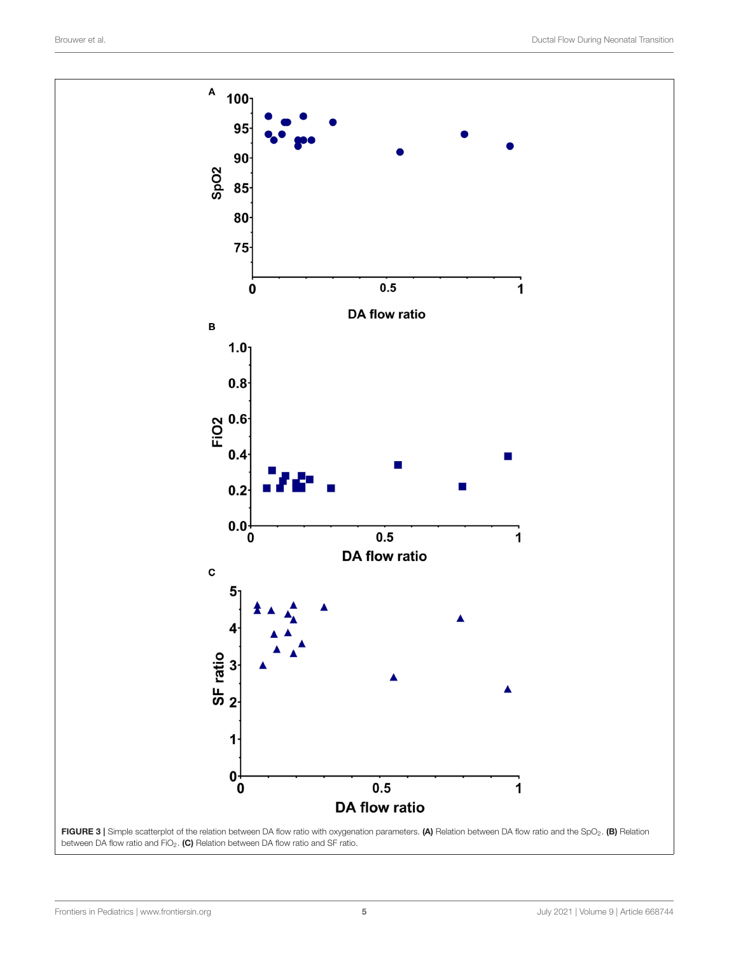<span id="page-4-0"></span>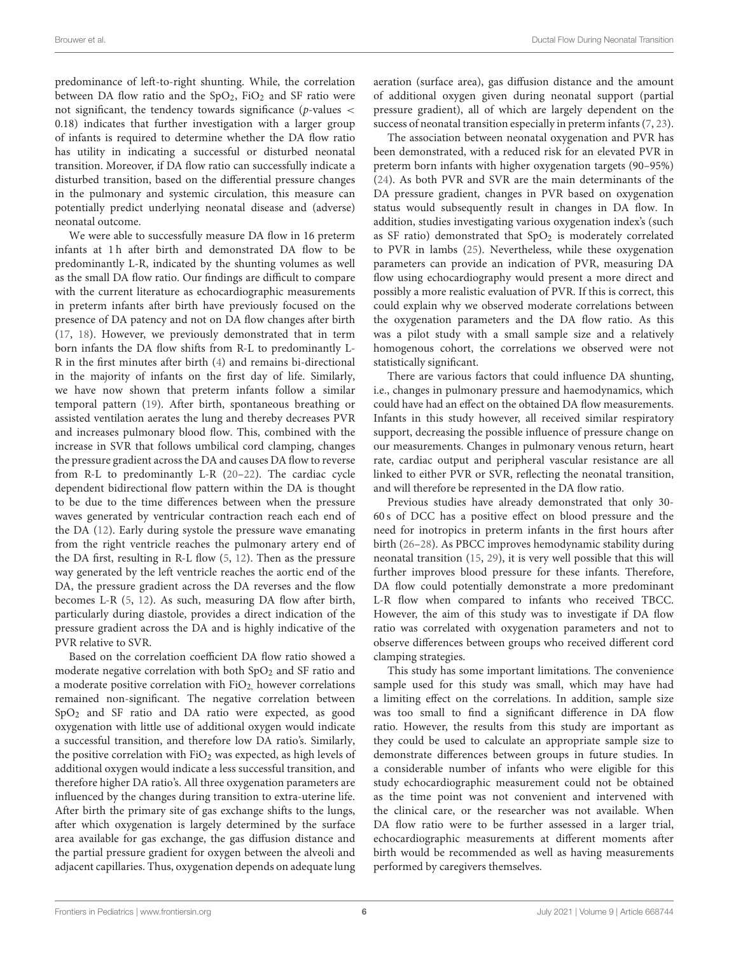predominance of left-to-right shunting. While, the correlation between DA flow ratio and the  $SpO<sub>2</sub>$ , FiO<sub>2</sub> and SF ratio were not significant, the tendency towards significance ( $p$ -values < 0.18) indicates that further investigation with a larger group of infants is required to determine whether the DA flow ratio has utility in indicating a successful or disturbed neonatal transition. Moreover, if DA flow ratio can successfully indicate a disturbed transition, based on the differential pressure changes in the pulmonary and systemic circulation, this measure can potentially predict underlying neonatal disease and (adverse) neonatal outcome.

We were able to successfully measure DA flow in 16 preterm infants at 1 h after birth and demonstrated DA flow to be predominantly L-R, indicated by the shunting volumes as well as the small DA flow ratio. Our findings are difficult to compare with the current literature as echocardiographic measurements in preterm infants after birth have previously focused on the presence of DA patency and not on DA flow changes after birth [\(17,](#page-6-14) [18\)](#page-6-15). However, we previously demonstrated that in term born infants the DA flow shifts from R-L to predominantly L-R in the first minutes after birth [\(4\)](#page-6-3) and remains bi-directional in the majority of infants on the first day of life. Similarly, we have now shown that preterm infants follow a similar temporal pattern [\(19\)](#page-6-16). After birth, spontaneous breathing or assisted ventilation aerates the lung and thereby decreases PVR and increases pulmonary blood flow. This, combined with the increase in SVR that follows umbilical cord clamping, changes the pressure gradient across the DA and causes DA flow to reverse from R-L to predominantly L-R [\(20](#page-6-17)[–22\)](#page-6-18). The cardiac cycle dependent bidirectional flow pattern within the DA is thought to be due to the time differences between when the pressure waves generated by ventricular contraction reach each end of the DA [\(12\)](#page-6-10). Early during systole the pressure wave emanating from the right ventricle reaches the pulmonary artery end of the DA first, resulting in R-L flow [\(5,](#page-6-4) [12\)](#page-6-10). Then as the pressure way generated by the left ventricle reaches the aortic end of the DA, the pressure gradient across the DA reverses and the flow becomes L-R [\(5,](#page-6-4) [12\)](#page-6-10). As such, measuring DA flow after birth, particularly during diastole, provides a direct indication of the pressure gradient across the DA and is highly indicative of the PVR relative to SVR.

Based on the correlation coefficient DA flow ratio showed a moderate negative correlation with both  $SpO<sub>2</sub>$  and SF ratio and a moderate positive correlation with  $FiO<sub>2</sub>$ , however correlations remained non-significant. The negative correlation between SpO<sup>2</sup> and SF ratio and DA ratio were expected, as good oxygenation with little use of additional oxygen would indicate a successful transition, and therefore low DA ratio's. Similarly, the positive correlation with  $FiO<sub>2</sub>$  was expected, as high levels of additional oxygen would indicate a less successful transition, and therefore higher DA ratio's. All three oxygenation parameters are influenced by the changes during transition to extra-uterine life. After birth the primary site of gas exchange shifts to the lungs, after which oxygenation is largely determined by the surface area available for gas exchange, the gas diffusion distance and the partial pressure gradient for oxygen between the alveoli and adjacent capillaries. Thus, oxygenation depends on adequate lung aeration (surface area), gas diffusion distance and the amount of additional oxygen given during neonatal support (partial pressure gradient), all of which are largely dependent on the success of neonatal transition especially in preterm infants [\(7,](#page-6-6) [23\)](#page-6-19).

The association between neonatal oxygenation and PVR has been demonstrated, with a reduced risk for an elevated PVR in preterm born infants with higher oxygenation targets (90–95%) [\(24\)](#page-7-0). As both PVR and SVR are the main determinants of the DA pressure gradient, changes in PVR based on oxygenation status would subsequently result in changes in DA flow. In addition, studies investigating various oxygenation index's (such as SF ratio) demonstrated that  $SpO<sub>2</sub>$  is moderately correlated to PVR in lambs [\(25\)](#page-7-1). Nevertheless, while these oxygenation parameters can provide an indication of PVR, measuring DA flow using echocardiography would present a more direct and possibly a more realistic evaluation of PVR. If this is correct, this could explain why we observed moderate correlations between the oxygenation parameters and the DA flow ratio. As this was a pilot study with a small sample size and a relatively homogenous cohort, the correlations we observed were not statistically significant.

There are various factors that could influence DA shunting, i.e., changes in pulmonary pressure and haemodynamics, which could have had an effect on the obtained DA flow measurements. Infants in this study however, all received similar respiratory support, decreasing the possible influence of pressure change on our measurements. Changes in pulmonary venous return, heart rate, cardiac output and peripheral vascular resistance are all linked to either PVR or SVR, reflecting the neonatal transition, and will therefore be represented in the DA flow ratio.

Previous studies have already demonstrated that only 30- 60 s of DCC has a positive effect on blood pressure and the need for inotropics in preterm infants in the first hours after birth [\(26–](#page-7-2)[28\)](#page-7-3). As PBCC improves hemodynamic stability during neonatal transition [\(15,](#page-6-12) [29\)](#page-7-4), it is very well possible that this will further improves blood pressure for these infants. Therefore, DA flow could potentially demonstrate a more predominant L-R flow when compared to infants who received TBCC. However, the aim of this study was to investigate if DA flow ratio was correlated with oxygenation parameters and not to observe differences between groups who received different cord clamping strategies.

This study has some important limitations. The convenience sample used for this study was small, which may have had a limiting effect on the correlations. In addition, sample size was too small to find a significant difference in DA flow ratio. However, the results from this study are important as they could be used to calculate an appropriate sample size to demonstrate differences between groups in future studies. In a considerable number of infants who were eligible for this study echocardiographic measurement could not be obtained as the time point was not convenient and intervened with the clinical care, or the researcher was not available. When DA flow ratio were to be further assessed in a larger trial, echocardiographic measurements at different moments after birth would be recommended as well as having measurements performed by caregivers themselves.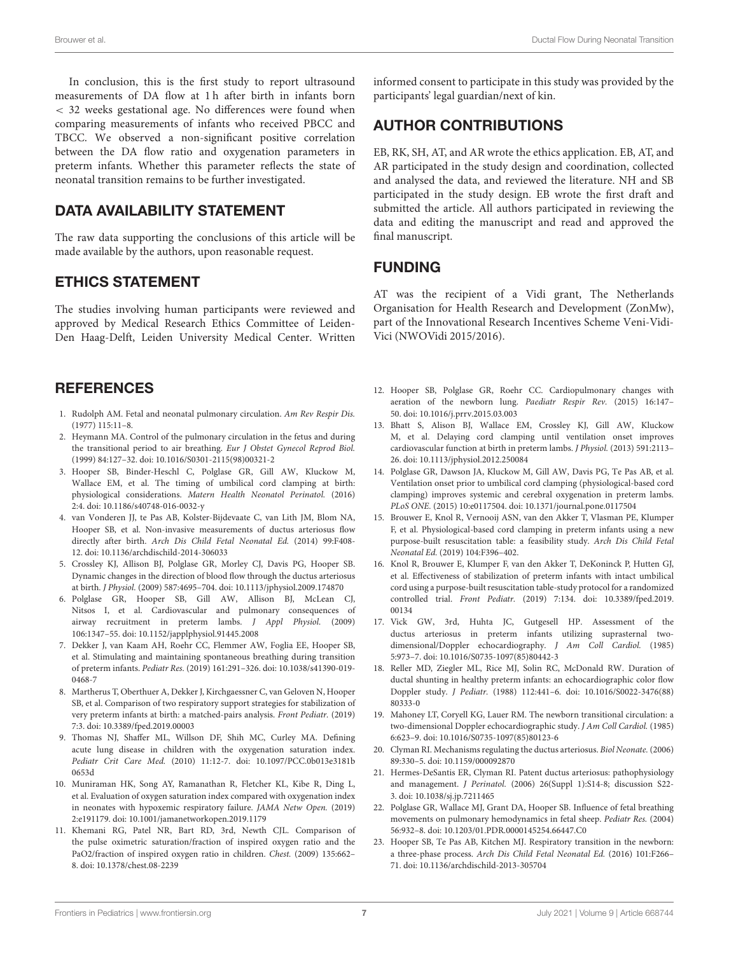In conclusion, this is the first study to report ultrasound measurements of DA flow at 1 h after birth in infants born < 32 weeks gestational age. No differences were found when comparing measurements of infants who received PBCC and TBCC. We observed a non-significant positive correlation between the DA flow ratio and oxygenation parameters in preterm infants. Whether this parameter reflects the state of neonatal transition remains to be further investigated.

# DATA AVAILABILITY STATEMENT

The raw data supporting the conclusions of this article will be made available by the authors, upon reasonable request.

## ETHICS STATEMENT

The studies involving human participants were reviewed and approved by Medical Research Ethics Committee of Leiden-Den Haag-Delft, Leiden University Medical Center. Written

## **REFERENCES**

- <span id="page-6-0"></span>1. Rudolph AM. Fetal and neonatal pulmonary circulation. Am Rev Respir Dis. (1977) 115:11–8.
- <span id="page-6-1"></span>2. Heymann MA. Control of the pulmonary circulation in the fetus and during the transitional period to air breathing. Eur J Obstet Gynecol Reprod Biol. (1999) 84:127–32. doi: [10.1016/S0301-2115\(98\)00321-2](https://doi.org/10.1016/S0301-2115(98)00321-2)
- <span id="page-6-2"></span>3. Hooper SB, Binder-Heschl C, Polglase GR, Gill AW, Kluckow M, Wallace EM, et al. The timing of umbilical cord clamping at birth: physiological considerations. Matern Health Neonatol Perinatol. (2016) 2:4. doi: [10.1186/s40748-016-0032-y](https://doi.org/10.1186/s40748-016-0032-y)
- <span id="page-6-3"></span>4. van Vonderen JJ, te Pas AB, Kolster-Bijdevaate C, van Lith JM, Blom NA, Hooper SB, et al. Non-invasive measurements of ductus arteriosus flow directly after birth. Arch Dis Child Fetal Neonatal Ed. (2014) 99:F408- 12. doi: [10.1136/archdischild-2014-306033](https://doi.org/10.1136/archdischild-2014-306033)
- <span id="page-6-4"></span>5. Crossley KJ, Allison BJ, Polglase GR, Morley CJ, Davis PG, Hooper SB. Dynamic changes in the direction of blood flow through the ductus arteriosus at birth. J Physiol. (2009) 587:4695–704. doi: [10.1113/jphysiol.2009.174870](https://doi.org/10.1113/jphysiol.2009.174870)
- <span id="page-6-5"></span>6. Polglase GR, Hooper SB, Gill AW, Allison BJ, McLean CJ, Nitsos I, et al. Cardiovascular and pulmonary consequences of airway recruitment in preterm lambs. J Appl Physiol. (2009) 106:1347–55. doi: [10.1152/japplphysiol.91445.2008](https://doi.org/10.1152/japplphysiol.91445.2008)
- <span id="page-6-6"></span>7. Dekker J, van Kaam AH, Roehr CC, Flemmer AW, Foglia EE, Hooper SB, et al. Stimulating and maintaining spontaneous breathing during transition of preterm infants. Pediatr Res. [\(2019\) 161:291–326. doi: 10.1038/s41390-019-](https://doi.org/10.1038/s41390-019-0468-7) 0468-7
- <span id="page-6-7"></span>8. Martherus T, Oberthuer A, Dekker J, Kirchgaessner C, van Geloven N, Hooper SB, et al. Comparison of two respiratory support strategies for stabilization of very preterm infants at birth: a matched-pairs analysis. Front Pediatr. (2019) 7:3. doi: [10.3389/fped.2019.00003](https://doi.org/10.3389/fped.2019.00003)
- <span id="page-6-8"></span>9. Thomas NJ, Shaffer ML, Willson DF, Shih MC, Curley MA. Defining acute lung disease in children with the oxygenation saturation index. Pediatr Crit Care Med. [\(2010\) 11:12-7. doi: 10.1097/PCC.0b013e3181b](https://doi.org/10.1097/PCC.0b013e3181b0653d) 0653d
- 10. Muniraman HK, Song AY, Ramanathan R, Fletcher KL, Kibe R, Ding L, et al. Evaluation of oxygen saturation index compared with oxygenation index in neonates with hypoxemic respiratory failure. JAMA Netw Open. (2019) 2:e191179. doi: [10.1001/jamanetworkopen.2019.1179](https://doi.org/10.1001/jamanetworkopen.2019.1179)
- <span id="page-6-9"></span>11. Khemani RG, Patel NR, Bart RD, 3rd, Newth CJL. Comparison of the pulse oximetric saturation/fraction of inspired oxygen ratio and the PaO2/fraction of inspired oxygen ratio in children. Chest. (2009) 135:662– 8. doi: [10.1378/chest.08-2239](https://doi.org/10.1378/chest.08-2239)

informed consent to participate in this study was provided by the participants' legal guardian/next of kin.

# AUTHOR CONTRIBUTIONS

EB, RK, SH, AT, and AR wrote the ethics application. EB, AT, and AR participated in the study design and coordination, collected and analysed the data, and reviewed the literature. NH and SB participated in the study design. EB wrote the first draft and submitted the article. All authors participated in reviewing the data and editing the manuscript and read and approved the final manuscript.

## FUNDING

AT was the recipient of a Vidi grant, The Netherlands Organisation for Health Research and Development (ZonMw), part of the Innovational Research Incentives Scheme Veni-Vidi-Vici (NWOVidi 2015/2016).

- <span id="page-6-10"></span>12. Hooper SB, Polglase GR, Roehr CC. Cardiopulmonary changes with aeration of the newborn lung. Paediatr Respir Rev. (2015) 16:147– 50. doi: [10.1016/j.prrv.2015.03.003](https://doi.org/10.1016/j.prrv.2015.03.003)
- <span id="page-6-11"></span>13. Bhatt S, Alison BJ, Wallace EM, Crossley KJ, Gill AW, Kluckow M, et al. Delaying cord clamping until ventilation onset improves cardiovascular function at birth in preterm lambs. J Physiol. (2013) 591:2113– 26. doi: [10.1113/jphysiol.2012.250084](https://doi.org/10.1113/jphysiol.2012.250084)
- 14. Polglase GR, Dawson JA, Kluckow M, Gill AW, Davis PG, Te Pas AB, et al. Ventilation onset prior to umbilical cord clamping (physiological-based cord clamping) improves systemic and cerebral oxygenation in preterm lambs. PLoS ONE. (2015) 10:e0117504. doi: [10.1371/journal.pone.0117504](https://doi.org/10.1371/journal.pone.0117504)
- <span id="page-6-12"></span>15. Brouwer E, Knol R, Vernooij ASN, van den Akker T, Vlasman PE, Klumper F, et al. Physiological-based cord clamping in preterm infants using a new purpose-built resuscitation table: a feasibility study. Arch Dis Child Fetal Neonatal Ed. (2019) 104:F396–402.
- <span id="page-6-13"></span>16. Knol R, Brouwer E, Klumper F, van den Akker T, DeKoninck P, Hutten GJ, et al. Effectiveness of stabilization of preterm infants with intact umbilical cord using a purpose-built resuscitation table-study protocol for a randomized controlled trial. Front Pediatr. [\(2019\) 7:134. doi: 10.3389/fped.2019.](https://doi.org/10.3389/fped.2019.00134) 00134
- <span id="page-6-14"></span>17. Vick GW, 3rd, Huhta JC, Gutgesell HP. Assessment of the ductus arteriosus in preterm infants utilizing suprasternal twodimensional/Doppler echocardiography. J Am Coll Cardiol. (1985) 5:973–7. doi: [10.1016/S0735-1097\(85\)80442-3](https://doi.org/10.1016/S0735-1097(85)80442-3)
- <span id="page-6-15"></span>18. Reller MD, Ziegler ML, Rice MJ, Solin RC, McDonald RW. Duration of ductal shunting in healthy preterm infants: an echocardiographic color flow Doppler study. J Pediatr. [\(1988\) 112:441–6. doi: 10.1016/S0022-3476\(88\)](https://doi.org/10.1016/S0022-3476(88)80333-0) 80333-0
- <span id="page-6-16"></span>19. Mahoney LT, Coryell KG, Lauer RM. The newborn transitional circulation: a two-dimensional Doppler echocardiographic study. J Am Coll Cardiol. (1985) 6:623–9. doi: [10.1016/S0735-1097\(85\)80123-6](https://doi.org/10.1016/S0735-1097(85)80123-6)
- <span id="page-6-17"></span>20. Clyman RI. Mechanisms regulating the ductus arteriosus. Biol Neonate. (2006) 89:330–5. doi: [10.1159/000092870](https://doi.org/10.1159/000092870)
- 21. Hermes-DeSantis ER, Clyman RI. Patent ductus arteriosus: pathophysiology and management. J Perinatol. (2006) 26(Suppl 1):S14-8; discussion S22- 3. doi: [10.1038/sj.jp.7211465](https://doi.org/10.1038/sj.jp.7211465)
- <span id="page-6-18"></span>22. Polglase GR, Wallace MJ, Grant DA, Hooper SB. Influence of fetal breathing movements on pulmonary hemodynamics in fetal sheep. Pediatr Res. (2004) 56:932–8. doi: [10.1203/01.PDR.0000145254.66447.C0](https://doi.org/10.1203/01.PDR.0000145254.66447.C0)
- <span id="page-6-19"></span>23. Hooper SB, Te Pas AB, Kitchen MJ. Respiratory transition in the newborn: a three-phase process. Arch Dis Child Fetal Neonatal Ed. (2016) 101:F266– 71. doi: [10.1136/archdischild-2013-305704](https://doi.org/10.1136/archdischild-2013-305704)